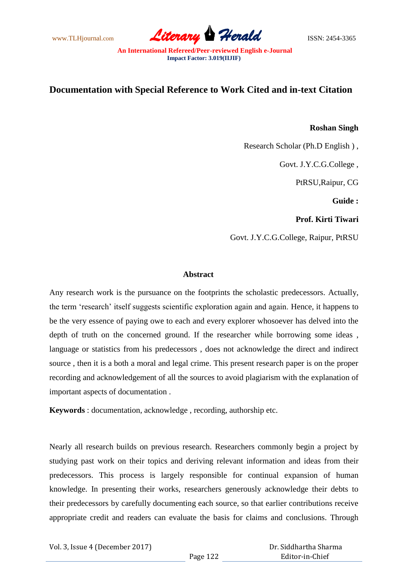www.TLHjournal.com *Literary Herald*ISSN: 2454-3365

# **Documentation with Special Reference to Work Cited and in-text Citation**

# **Roshan Singh**

Research Scholar (Ph.D English ) ,

Govt. J.Y.C.G.College ,

PtRSU,Raipur, CG

**Guide :**

**Prof. Kirti Tiwari** 

Govt. J.Y.C.G.College, Raipur, PtRSU

# **Abstract**

Any research work is the pursuance on the footprints the scholastic predecessors. Actually, the term "research" itself suggests scientific exploration again and again. Hence, it happens to be the very essence of paying owe to each and every explorer whosoever has delved into the depth of truth on the concerned ground. If the researcher while borrowing some ideas , language or statistics from his predecessors , does not acknowledge the direct and indirect source , then it is a both a moral and legal crime. This present research paper is on the proper recording and acknowledgement of all the sources to avoid plagiarism with the explanation of important aspects of documentation .

**Keywords** : documentation, acknowledge , recording, authorship etc.

Nearly all research builds on previous research. Researchers commonly begin a project by studying past work on their topics and deriving relevant information and ideas from their predecessors. This process is largely responsible for continual expansion of human knowledge. In presenting their works, researchers generously acknowledge their debts to their predecessors by carefully documenting each source, so that earlier contributions receive appropriate credit and readers can evaluate the basis for claims and conclusions. Through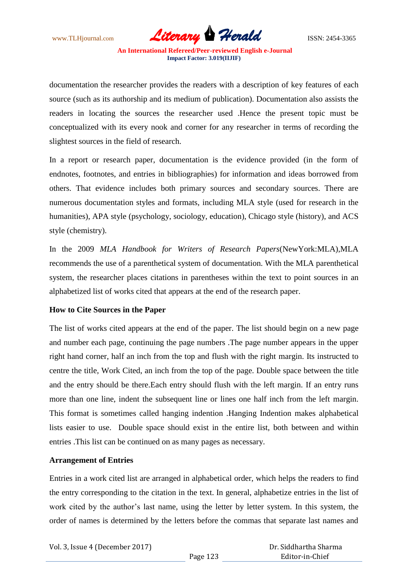www.TLHjournal.com **Literary Herald Herald** ISSN: 2454-3365

documentation the researcher provides the readers with a description of key features of each source (such as its authorship and its medium of publication). Documentation also assists the readers in locating the sources the researcher used .Hence the present topic must be conceptualized with its every nook and corner for any researcher in terms of recording the slightest sources in the field of research.

In a report or research paper, documentation is the evidence provided (in the form of endnotes, footnotes, and entries in bibliographies) for information and ideas borrowed from others. That evidence includes both primary sources and secondary sources. There are numerous documentation styles and formats, including MLA style (used for research in the humanities), APA style (psychology, sociology, education), Chicago style (history), and ACS style (chemistry).

In the 2009 *MLA Handbook for Writers of Research Papers*(NewYork:MLA),MLA recommends the use of a parenthetical system of documentation. With the MLA parenthetical system, the researcher places citations in parentheses within the text to point sources in an alphabetized list of works cited that appears at the end of the research paper.

# **How to Cite Sources in the Paper**

The list of works cited appears at the end of the paper. The list should begin on a new page and number each page, continuing the page numbers .The page number appears in the upper right hand corner, half an inch from the top and flush with the right margin. Its instructed to centre the title, Work Cited, an inch from the top of the page. Double space between the title and the entry should be there.Each entry should flush with the left margin. If an entry runs more than one line, indent the subsequent line or lines one half inch from the left margin. This format is sometimes called hanging indention .Hanging Indention makes alphabetical lists easier to use. Double space should exist in the entire list, both between and within entries .This list can be continued on as many pages as necessary.

### **Arrangement of Entries**

Entries in a work cited list are arranged in alphabetical order, which helps the readers to find the entry corresponding to the citation in the text. In general, alphabetize entries in the list of work cited by the author's last name, using the letter by letter system. In this system, the order of names is determined by the letters before the commas that separate last names and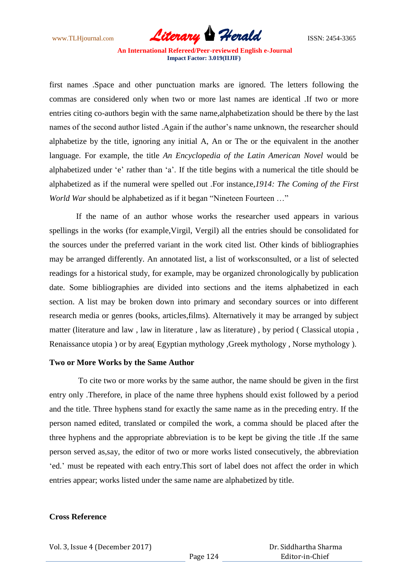www.TLHjournal.com *Literary Herald*ISSN: 2454-3365

first names .Space and other punctuation marks are ignored. The letters following the commas are considered only when two or more last names are identical .If two or more entries citing co-authors begin with the same name,alphabetization should be there by the last names of the second author listed .Again if the author"s name unknown, the researcher should alphabetize by the title, ignoring any initial A, An or The or the equivalent in the another language. For example, the title *An Encyclopedia of the Latin American Novel* would be alphabetized under "e" rather than "a". If the title begins with a numerical the title should be alphabetized as if the numeral were spelled out .For instance,*1914: The Coming of the First World War* should be alphabetized as if it began "Nineteen Fourteen ..."

If the name of an author whose works the researcher used appears in various spellings in the works (for example,Virgil, Vergil) all the entries should be consolidated for the sources under the preferred variant in the work cited list. Other kinds of bibliographies may be arranged differently. An annotated list, a list of worksconsulted, or a list of selected readings for a historical study, for example, may be organized chronologically by publication date. Some bibliographies are divided into sections and the items alphabetized in each section. A list may be broken down into primary and secondary sources or into different research media or genres (books, articles,films). Alternatively it may be arranged by subject matter (literature and law , law in literature , law as literature) , by period ( Classical utopia , Renaissance utopia ) or by area( Egyptian mythology , Greek mythology , Norse mythology ).

### **Two or More Works by the Same Author**

To cite two or more works by the same author, the name should be given in the first entry only .Therefore, in place of the name three hyphens should exist followed by a period and the title. Three hyphens stand for exactly the same name as in the preceding entry. If the person named edited, translated or compiled the work, a comma should be placed after the three hyphens and the appropriate abbreviation is to be kept be giving the title .If the same person served as,say, the editor of two or more works listed consecutively, the abbreviation 'ed.' must be repeated with each entry.This sort of label does not affect the order in which entries appear; works listed under the same name are alphabetized by title.

### **Cross Reference**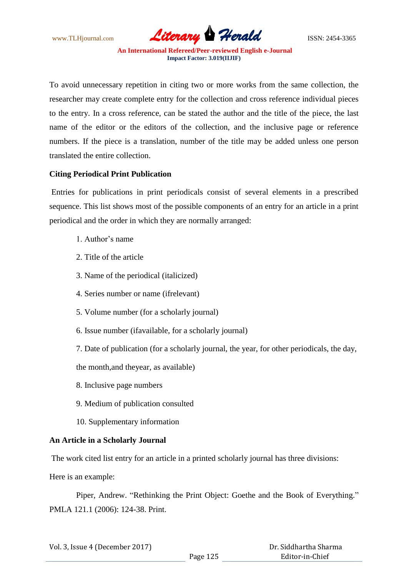www.TLHjournal.com **Literary Herald Herald** ISSN: 2454-3365

To avoid unnecessary repetition in citing two or more works from the same collection, the researcher may create complete entry for the collection and cross reference individual pieces to the entry. In a cross reference, can be stated the author and the title of the piece, the last name of the editor or the editors of the collection, and the inclusive page or reference numbers. If the piece is a translation, number of the title may be added unless one person translated the entire collection.

# **Citing Periodical Print Publication**

Entries for publications in print periodicals consist of several elements in a prescribed sequence. This list shows most of the possible components of an entry for an article in a print periodical and the order in which they are normally arranged:

- 1. Author"s name
- 2. Title of the article
- 3. Name of the periodical (italicized)
- 4. Series number or name (ifrelevant)
- 5. Volume number (for a scholarly journal)
- 6. Issue number (ifavailable, for a scholarly journal)
- 7. Date of publication (for a scholarly journal, the year, for other periodicals, the day,

the month,and theyear, as available)

- 8. Inclusive page numbers
- 9. Medium of publication consulted
- 10. Supplementary information

### **An Article in a Scholarly Journal**

The work cited list entry for an article in a printed scholarly journal has three divisions:

Here is an example:

Piper, Andrew. "Rethinking the Print Object: Goethe and the Book of Everything." PMLA 121.1 (2006): 124-38. Print.

| Vol. 3, Issue 4 (December 2017) |          | Dr. Siddhartha Sharma |
|---------------------------------|----------|-----------------------|
|                                 | Page 125 | Editor-in-Chief       |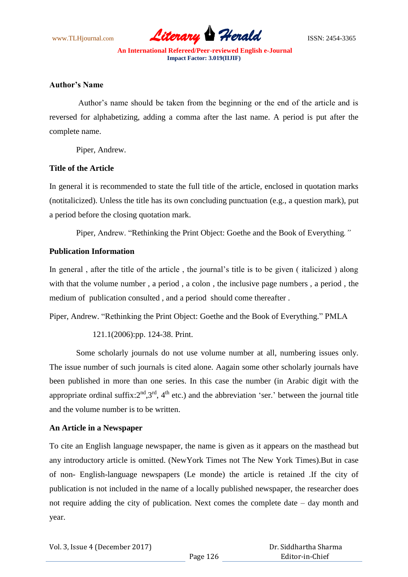www.TLHjournal.com **Literary Herald Herald** ISSN: 2454-3365

### **Author's Name**

Author"s name should be taken from the beginning or the end of the article and is reversed for alphabetizing, adding a comma after the last name. A period is put after the complete name.

Piper, Andrew.

### **Title of the Article**

In general it is recommended to state the full title of the article, enclosed in quotation marks (notitalicized). Unless the title has its own concluding punctuation (e.g., a question mark), put a period before the closing quotation mark.

Piper, Andrew. "Rethinking the Print Object: Goethe and the Book of Everything*."*

# **Publication Information**

In general, after the title of the article, the journal's title is to be given (italicized) along with that the volume number , a period , a colon , the inclusive page numbers , a period , the medium of publication consulted , and a period should come thereafter .

Piper, Andrew. "Rethinking the Print Object: Goethe and the Book of Everything." PMLA

121.1(2006):pp. 124-38. Print.

Some scholarly journals do not use volume number at all, numbering issues only. The issue number of such journals is cited alone. Aagain some other scholarly journals have been published in more than one series. In this case the number (in Arabic digit with the appropriate ordinal suffix: $2<sup>nd</sup>$ ,  $3<sup>rd</sup>$ ,  $4<sup>th</sup>$  etc.) and the abbreviation 'ser.' between the journal title and the volume number is to be written.

# **An Article in a Newspaper**

To cite an English language newspaper, the name is given as it appears on the masthead but any introductory article is omitted. (NewYork Times not The New York Times).But in case of non- English-language newspapers (Le monde) the article is retained .If the city of publication is not included in the name of a locally published newspaper, the researcher does not require adding the city of publication. Next comes the complete date – day month and year.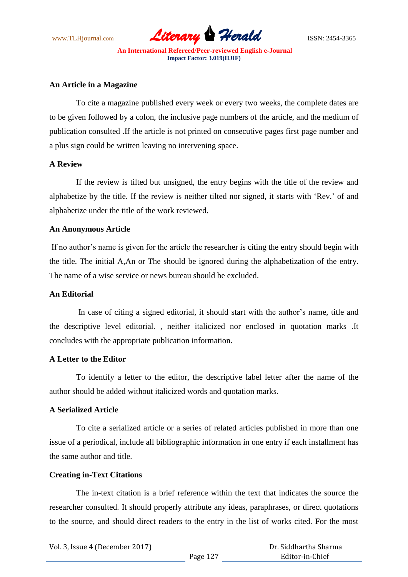

#### **An Article in a Magazine**

To cite a magazine published every week or every two weeks, the complete dates are to be given followed by a colon, the inclusive page numbers of the article, and the medium of publication consulted .If the article is not printed on consecutive pages first page number and a plus sign could be written leaving no intervening space.

# **A Review**

If the review is tilted but unsigned, the entry begins with the title of the review and alphabetize by the title. If the review is neither tilted nor signed, it starts with "Rev." of and alphabetize under the title of the work reviewed.

# **An Anonymous Article**

If no author's name is given for the article the researcher is citing the entry should begin with the title. The initial A,An or The should be ignored during the alphabetization of the entry. The name of a wise service or news bureau should be excluded.

# **An Editorial**

In case of citing a signed editorial, it should start with the author's name, title and the descriptive level editorial. , neither italicized nor enclosed in quotation marks .It concludes with the appropriate publication information.

# **A Letter to the Editor**

To identify a letter to the editor, the descriptive label letter after the name of the author should be added without italicized words and quotation marks.

# **A Serialized Article**

To cite a serialized article or a series of related articles published in more than one issue of a periodical, include all bibliographic information in one entry if each installment has the same author and title.

#### **Creating in-Text Citations**

The in-text citation is a brief reference within the text that indicates the source the researcher consulted. It should properly attribute any ideas, paraphrases, or direct quotations to the source, and should direct readers to the entry in the list of works cited. For the most

| Vol. 3, Issue 4 (December 2017) |          | Dr. Siddhartha Sharma |
|---------------------------------|----------|-----------------------|
|                                 | Page 127 | Editor-in-Chief       |